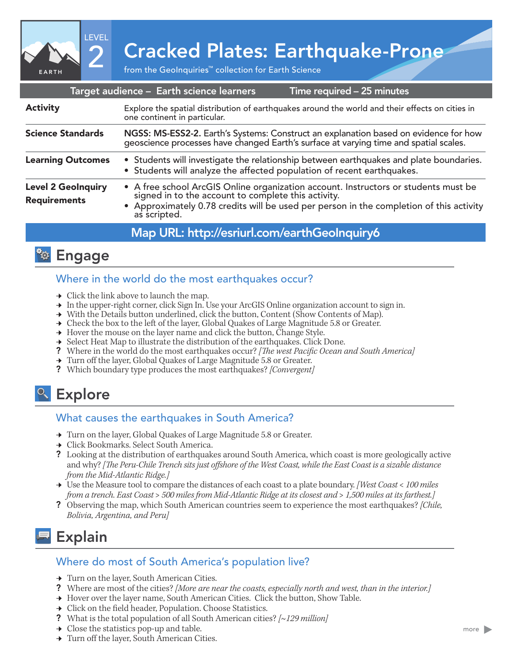2 Cracked Plates: Earthquake-Prone

|                                                  |  |                                                                                                                                                                                                                                                    | Target audience - Earth science learners     |  | Time required - 25 minutes |                                                                                                                                                                               |  |
|--------------------------------------------------|--|----------------------------------------------------------------------------------------------------------------------------------------------------------------------------------------------------------------------------------------------------|----------------------------------------------|--|----------------------------|-------------------------------------------------------------------------------------------------------------------------------------------------------------------------------|--|
| <b>Activity</b>                                  |  | Explore the spatial distribution of earthquakes around the world and their effects on cities in<br>one continent in particular.                                                                                                                    |                                              |  |                            |                                                                                                                                                                               |  |
| <b>Science Standards</b>                         |  |                                                                                                                                                                                                                                                    |                                              |  |                            | NGSS: MS-ESS2-2. Earth's Systems: Construct an explanation based on evidence for how<br>geoscience processes have changed Earth's surface at varying time and spatial scales. |  |
| <b>Learning Outcomes</b>                         |  | • Students will investigate the relationship between earthquakes and plate boundaries.<br>• Students will analyze the affected population of recent earthquakes.                                                                                   |                                              |  |                            |                                                                                                                                                                               |  |
| <b>Level 2 GeoInquiry</b><br><b>Requirements</b> |  | • A free school ArcGIS Online organization account. Instructors or students must be signed in to the account to complete this activity.<br>• Approximately 0.78 credits will be used per person in the completion of this activity<br>as scripted. |                                              |  |                            |                                                                                                                                                                               |  |
|                                                  |  |                                                                                                                                                                                                                                                    | Map URL: http://esriurl.com/earthGeolnquiry6 |  |                            |                                                                                                                                                                               |  |



EARTH

LEVEL

## Where in the world do the most earthquakes occur?

- $\rightarrow$  Click the link above to launch the map.
- → In the upper-right corner, click Sign In. Use your ArcGIS Online organization account to sign in.
- → With the Details button underlined, click the button, Content (Show Contents of Map).
- → Check the box to the left of the layer, Global Quakes of Large Magnitude 5.8 or Greater.
- $\rightarrow$  Hover the mouse on the layer name and click the button, Change Style.
- → Select Heat Map to illustrate the distribution of the earthquakes. Click Done.
- ? Where in the world do the most earthquakes occur? *[The west Pacific Ocean and South America]*
- → Turn off the layer, Global Quakes of Large Magnitude 5.8 or Greater.
- ? Which boundary type produces the most earthquakes? *[Convergent]*

# <sup>o</sup> Explore

#### What causes the earthquakes in South America?

- → Turn on the layer, Global Quakes of Large Magnitude 5.8 or Greater.
- **→** Click Bookmarks. Select South America.
- ? Looking at the distribution of earthquakes around South America, which coast is more geologically active and why? *[The Peru-Chile Trench sits just offshore of the West Coast, while the East Coast is a sizable distance from the Mid-Atlantic Ridge.]*
- ʅ Use the Measure tool to compare the distances of each coast to a plate boundary. *[West Coast < 100 miles from a trench. East Coast > 500 miles from Mid-Atlantic Ridge at its closest and > 1,500 miles at its farthest.]*
- ? Observing the map, which South American countries seem to experience the most earthquakes? *[Chile, Bolivia, Argentina, and Peru]*

# Explain

#### Where do most of South America's population live?

- → Turn on the layer, South American Cities.
- ? Where are most of the cities? *[More are near the coasts, especially north and west, than in the interior.]*
- → Hover over the layer name, South American Cities. Click the button, Show Table.
- → Click on the field header, Population. Choose Statistics.
- ? What is the total population of all South American cities? *[~129 million]*
- $\rightarrow$  Close the statistics pop-up and table.
- → Turn off the layer, South American Cities.